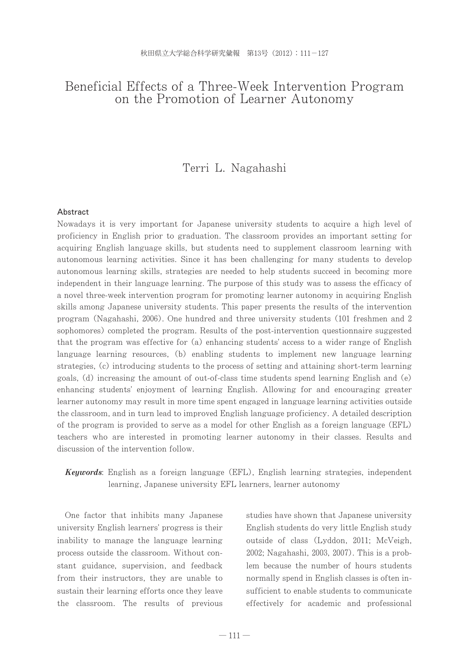# Beneficial Effects of a Three-Week Intervention Program on the Promotion of Learner Autonomy

# Terri L. Nagahashi

#### Abstract

Nowadays it is very important for Japanese university students to acquire a high level of proficiency in English prior to graduation. The classroom provides an important setting for acquiring English language skills, but students need to supplement classroom learning with autonomous learning activities. Since it has been challenging for many students to develop autonomous learning skills, strategies are needed to help students succeed in becoming more independent in their language learning. The purpose of this study was to assess the efficacy of a novel three-week intervention program for promoting learner autonomy in acquiring English skills among Japanese university students. This paper presents the results of the intervention program (Nagahashi, 2006). One hundred and three university students (101 freshmen and 2 sophomores) completed the program. Results of the post-intervention questionnaire suggested that the program was effective for (a) enhancing students' access to a wider range of English language learning resources, (b) enabling students to implement new language learning strategies, (c) introducing students to the process of setting and attaining short-term learning goals, (d) increasing the amount of out-of-class time students spend learning English and (e) enhancing students' enjoyment of learning English. Allowing for and encouraging greater learner autonomy may result in more time spent engaged in language learning activities outside the classroom, and in turn lead to improved English language proficiency. A detailed description of the program is provided to serve as a model for other English as a foreign language (EFL) teachers who are interested in promoting learner autonomy in their classes. Results and discussion of the intervention follow.

## Keywords: English as a foreign language (EFL), English learning strategies, independent learning, Japanese university EFL learners, learner autonomy

One factor that inhibits many Japanese university English learners' progress is their inability to manage the language learning process outside the classroom. Without constant guidance, supervision, and feedback from their instructors, they are unable to sustain their learning efforts once they leave the classroom. The results of previous

studies have shown that Japanese university English students do very little English study outside of class (Lyddon, 2011; McVeigh, 2002; Nagahashi, 2003, 2007). This is a problem because the number of hours students normally spend in English classes is often insufficient to enable students to communicate effectively for academic and professional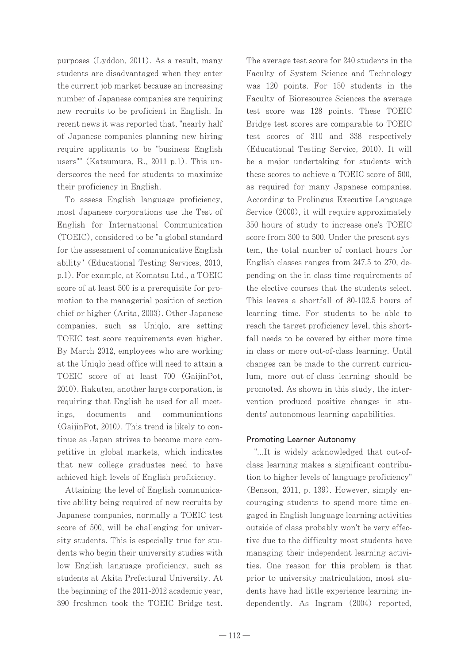purposes (Lyddon, 2011). As a result, many students are disadvantaged when they enter the current job market because an increasing number of Japanese companies are requiring new recruits to be proficient in English. In recent news it was reported that, "nearly half of Japanese companies planning new hiring require applicants to be "business English users"" (Katsumura, R., 2011 p.1). This underscores the need for students to maximize their proficiency in English.

To assess English language proficiency, most Japanese corporations use the Test of English for International Communication (TOEIC), considered to be "a global standard for the assessment of communicative English ability" (Educational Testing Services, 2010, p.1). For example, at Komatsu Ltd., a TOEIC score of at least 500 is a prerequisite for promotion to the managerial position of section chief or higher (Arita, 2003). Other Japanese companies, such as Uniqlo, are setting TOEIC test score requirements even higher. By March 2012, employees who are working at the Uniqlo head office will need to attain a TOEIC score of at least 700 (GaijinPot, 2010). Rakuten, another large corporation, is requiring that English be used for all meetings. documents and communications (GaijinPot, 2010). This trend is likely to continue as Japan strives to become more competitive in global markets, which indicates that new college graduates need to have achieved high levels of English proficiency.

Attaining the level of English communicative ability being required of new recruits by Japanese companies, normally a TOEIC test score of 500, will be challenging for university students. This is especially true for students who begin their university studies with low English language proficiency, such as students at Akita Prefectural University. At the beginning of the 2011-2012 academic year, 390 freshmen took the TOEIC Bridge test.

The average test score for 240 students in the Faculty of System Science and Technology was 120 points. For 150 students in the Faculty of Bioresource Sciences the average test score was 128 points. These TOEIC Bridge test scores are comparable to TOEIC test scores of 310 and 338 respectively (Educational Testing Service, 2010). It will be a major undertaking for students with these scores to achieve a TOEIC score of 500. as required for many Japanese companies. According to Prolingua Executive Language Service (2000), it will require approximately 350 hours of study to increase one's TOEIC score from 300 to 500. Under the present system, the total number of contact hours for English classes ranges from 247.5 to 270, depending on the in-class-time requirements of the elective courses that the students select. This leaves a shortfall of 80-102.5 hours of learning time. For students to be able to reach the target proficiency level, this shortfall needs to be covered by either more time in class or more out-of-class learning. Until changes can be made to the current curriculum, more out-of-class learning should be promoted. As shown in this study, the intervention produced positive changes in students' autonomous learning capabilities.

### **Promoting Learner Autonomy**

"...It is widely acknowledged that out-ofclass learning makes a significant contribution to higher levels of language proficiency" (Benson, 2011, p. 139). However, simply encouraging students to spend more time engaged in English language learning activities outside of class probably won't be very effective due to the difficulty most students have managing their independent learning activities. One reason for this problem is that prior to university matriculation, most students have had little experience learning independently. As Ingram (2004) reported,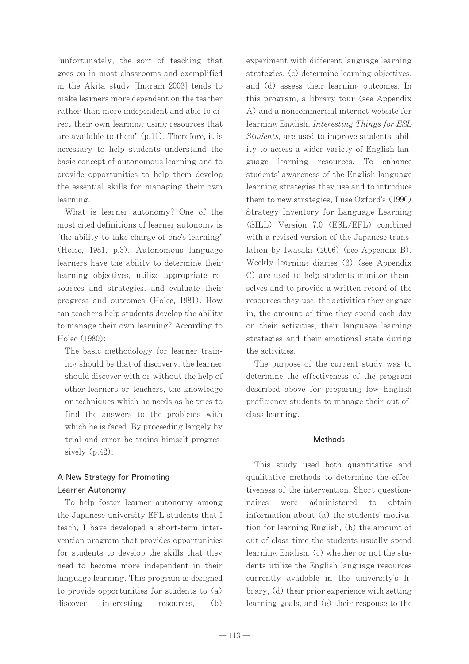"unfortunately, the sort of teaching that goes on in most classrooms and exemplified in the Akita study [Ingram 2003] tends to make learners more dependent on the teacher rather than more independent and able to direct their own learning using resources that are available to them" (p.11). Therefore, it is necessary to help students understand the basic concept of autonomous learning and to provide opportunities to help them develop the essential skills for managing their own learning.

What is learner autonomy? One of the most cited definitions of learner autonomy is "the ability to take charge of one's learning" (Holec, 1981, p.3). Autonomous language learners have the ability to determine their learning objectives, utilize appropriate resources and strategies, and evaluate their progress and outcomes (Holec, 1981). How can teachers help students develop the ability to manage their own learning? According to Holec (1980):

The basic methodology for learner training should be that of discovery: the learner should discover with or without the help of other learners or teachers, the knowledge or techniques which he needs as he tries to find the answers to the problems with which he is faced. By proceeding largely by trial and error he trains himself progressively  $(p.42)$ .

## A New Strategy for Promoting Learner Autonomy

To help foster learner autonomy among the Japanese university EFL students that I teach, I have developed a short-term intervention program that provides opportunities for students to develop the skills that they need to become more independent in their language learning. This program is designed to provide opportunities for students to  $(a)$ discover  $(b)$ interesting resources.

experiment with different language learning strategies, (c) determine learning objectives, and (d) assess their learning outcomes. In this program, a library tour (see Appendix A) and a noncommercial internet website for learning English, *Interesting Things for ESL Students*, are used to improve students' ability to access a wider variety of English language learning resources. To enhance students' awareness of the English language learning strategies they use and to introduce them to new strategies, I use Oxford's (1990) Strategy Inventory for Language Learning (SILL) Version 7.0 (ESL/EFL) combined with a revised version of the Japanese translation by Iwasaki (2006) (see Appendix B). Weekly learning diaries (3) (see Appendix C) are used to help students monitor themselves and to provide a written record of the resources they use, the activities they engage in, the amount of time they spend each day on their activities, their language learning strategies and their emotional state during the activities.

The purpose of the current study was to determine the effectiveness of the program described above for preparing low English proficiency students to manage their out-ofclass learning.

### **Methods**

This study used both quantitative and qualitative methods to determine the effectiveness of the intervention. Short questionwere administered naires  $\mathbf{t}$ obtain information about (a) the students' motivation for learning English, (b) the amount of out-of-class time the students usually spend learning English, (c) whether or not the students utilize the English language resources currently available in the university's library, (d) their prior experience with setting learning goals, and (e) their response to the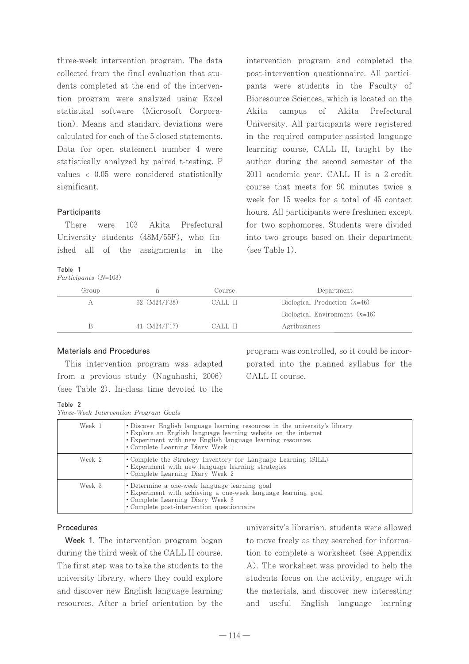three-week intervention program. The data collected from the final evaluation that students completed at the end of the intervention program were analyzed using Excel statistical software (Microsoft Corporation). Means and standard deviations were calculated for each of the 5 closed statements. Data for open statement number 4 were statistically analyzed by paired t-testing. P values  $\langle 0.05 \rangle$  were considered statistically significant.

#### Participants

There were 103 Akita Prefectural University students (48M/55F), who finished all of the assignments in the

#### Table 1

Participants (N=103)

intervention program and completed the post-intervention questionnaire. All participants were students in the Faculty of Bioresource Sciences, which is located on the Akita campus of Akita Prefectural University. All participants were registered in the required computer-assisted language learning course, CALL II, taught by the author during the second semester of the 2011 academic year. CALL II is a 2-credit course that meets for 90 minutes twice a week for 15 weeks for a total of 45 contact hours. All participants were freshmen except for two sophomores. Students were divided into two groups based on their department  $(see Table 1).$ 

| Group |              | Course  | Department                      |
|-------|--------------|---------|---------------------------------|
|       | 62 (M24/F38) | CALL II | Biological Production $(n=46)$  |
|       |              |         | Biological Environment $(n=16)$ |
|       | 41 (M24/F17) | CALL II | Agribusiness                    |

#### **Materials and Procedures**

This intervention program was adapted from a previous study (Nagahashi, 2006) (see Table 2). In-class time devoted to the

program was controlled, so it could be incorporated into the planned syllabus for the CALL II course.

| Table |                                |
|-------|--------------------------------|
|       | $Th_{max}$ $M_{sub}$ $In$ $In$ |

|  |  |  |  |  |  | Three-Week Intervention Program Goals |  |  |
|--|--|--|--|--|--|---------------------------------------|--|--|
|--|--|--|--|--|--|---------------------------------------|--|--|

| Week 1 | • Discover English language learning resources in the university's library<br>• Explore an English language learning website on the internet<br>• Experiment with new English language learning resources<br>• Complete Learning Diary Week 1 |
|--------|-----------------------------------------------------------------------------------------------------------------------------------------------------------------------------------------------------------------------------------------------|
| Week 2 | • Complete the Strategy Inventory for Language Learning (SILL)<br>• Experiment with new language learning strategies<br>• Complete Learning Diary Week 2                                                                                      |
| Week 3 | • Determine a one-week language learning goal<br>• Experiment with achieving a one-week language learning goal<br>• Complete Learning Diary Week 3<br>• Complete post-intervention questionnaire                                              |

#### Procedures

Week 1. The intervention program began during the third week of the CALL II course. The first step was to take the students to the university library, where they could explore and discover new English language learning resources. After a brief orientation by the

university's librarian, students were allowed to move freely as they searched for information to complete a worksheet (see Appendix A). The worksheet was provided to help the students focus on the activity, engage with the materials, and discover new interesting and useful English language learning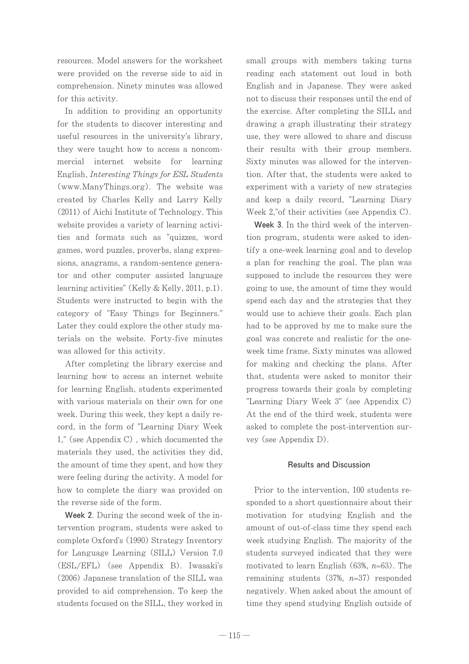resources. Model answers for the worksheet were provided on the reverse side to aid in comprehension. Ninety minutes was allowed for this activity.

In addition to providing an opportunity for the students to discover interesting and useful resources in the university's library. they were taught how to access a noncommercial internet website for learning English, Interesting Things for ESL Students (www.ManyThings.org). The website was created by Charles Kelly and Larry Kelly (2011) of Aichi Institute of Technology. This website provides a variety of learning activities and formats such as "quizzes, word games, word puzzles, proverbs, slang expressions, anagrams, a random-sentence generator and other computer assisted language learning activities" (Kelly & Kelly, 2011, p.1). Students were instructed to begin with the category of "Easy Things for Beginners." Later they could explore the other study materials on the website. Forty-five minutes was allowed for this activity.

After completing the library exercise and learning how to access an internet website for learning English, students experimented with various materials on their own for one week. During this week, they kept a daily record, in the form of "Learning Diary Week 1," (see Appendix C), which documented the materials they used, the activities they did, the amount of time they spent, and how they were feeling during the activity. A model for how to complete the diary was provided on the reverse side of the form.

Week 2. During the second week of the intervention program, students were asked to complete Oxford's (1990) Strategy Inventory for Language Learning (SILL) Version 7.0 (ESL/EFL) (see Appendix B). Iwasaki's (2006) Japanese translation of the SILL was provided to aid comprehension. To keep the students focused on the SILL, they worked in

small groups with members taking turns reading each statement out loud in both English and in Japanese. They were asked not to discuss their responses until the end of the exercise. After completing the SILL and drawing a graph illustrating their strategy use, they were allowed to share and discuss their results with their group members. Sixty minutes was allowed for the intervention. After that, the students were asked to experiment with a variety of new strategies and keep a daily record, "Learning Diary Week 2," of their activities (see Appendix C).

Week 3. In the third week of the intervention program, students were asked to identify a one-week learning goal and to develop a plan for reaching the goal. The plan was supposed to include the resources they were going to use, the amount of time they would spend each day and the strategies that they would use to achieve their goals. Each plan had to be approved by me to make sure the goal was concrete and realistic for the oneweek time frame. Sixty minutes was allowed for making and checking the plans. After that, students were asked to monitor their progress towards their goals by completing "Learning Diary Week 3" (see Appendix C) At the end of the third week, students were asked to complete the post-intervention survey (see Appendix D).

### **Results and Discussion**

Prior to the intervention, 100 students responded to a short questionnaire about their motivation for studying English and the amount of out-of-class time they spend each week studying English. The majority of the students surveyed indicated that they were motivated to learn English (63%,  $n=63$ ). The remaining students  $(37\%, n=37)$  responded negatively. When asked about the amount of time they spend studying English outside of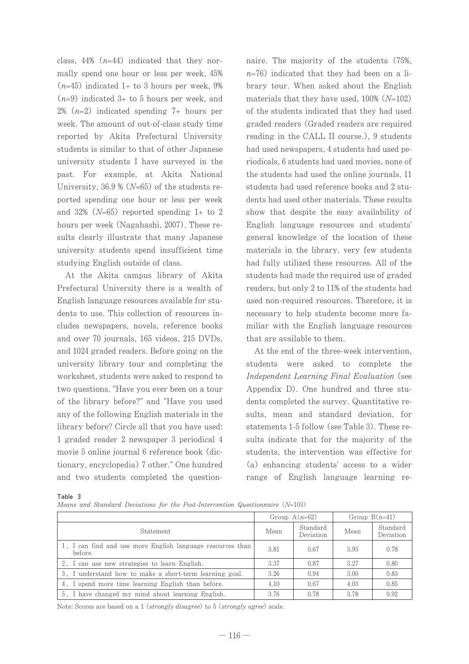class, 44%  $(n=44)$  indicated that they normally spend one hour or less per week, 45%  $(n=45)$  indicated 1+ to 3 hours per week, 9%  $(n=9)$  indicated 3+ to 5 hours per week, and 2%  $(n=2)$  indicated spending 7+ hours per week. The amount of out-of-class study time reported by Akita Prefectural University students is similar to that of other Japanese university students I have surveyed in the past. For example, at Akita National University,  $36.9\%$  (N=65) of the students reported spending one hour or less per week and 32% ( $N=65$ ) reported spending 1+ to 2 hours per week (Nagahashi, 2007). These results clearly illustrate that many Japanese university students spend insufficient time studying English outside of class.

At the Akita campus library of Akita Prefectural University there is a wealth of English language resources available for students to use. This collection of resources includes newspapers, novels, reference books and over 70 journals, 165 videos, 215 DVDs, and 1024 graded readers. Before going on the university library tour and completing the worksheet, students were asked to respond to two questions, "Have you ever been on a tour of the library before?" and "Have you used any of the following English materials in the library before? Circle all that you have used: 1 graded reader 2 newspaper 3 periodical 4 movie 5 online journal 6 reference book (dictionary, encyclopedia) 7 other." One hundred and two students completed the question-

naire. The majority of the students (75%,  $n=76$ ) indicated that they had been on a library tour. When asked about the English materials that they have used,  $100\%$  ( $N=102$ ) of the students indicated that they had used graded readers (Graded readers are required reading in the CALL II course.), 9 students had used newspapers, 4 students had used periodicals, 6 students had used movies, none of the students had used the online journals, 11 students had used reference books and 2 students had used other materials. These results show that despite the easy availability of English language resources and students' general knowledge of the location of these materials in the library, very few students had fully utilized these resources. All of the students had made the required use of graded readers, but only 2 to 11% of the students had used non-required resources. Therefore, it is necessary to help students become more familiar with the English language resources that are available to them.

At the end of the three-week intervention, students were asked to complete the Independent Learning Final Evaluation (see Appendix D). One hundred and three students completed the survey. Quantitative results, mean and standard deviation, for statements 1-5 follow (see Table 3). These results indicate that for the majority of the students, the intervention was effective for (a) enhancing students' access to a wider range of English language learning re-

| Table | 3 |
|-------|---|
|       |   |

Means and Standard Deviations for the Post-Intervention Questionnaire (N=103)

|                                                                       | Group $A(n=62)$ |                       | Group $B(n=41)$ |                       |
|-----------------------------------------------------------------------|-----------------|-----------------------|-----------------|-----------------------|
| Statement                                                             | Mean            | Standard<br>Deviation | Mean            | Standard<br>Deviation |
| 1. I can find and use more English language resources than<br>before. | 3.81            | 0.67                  | 3.93            | 0.78                  |
| 2. I can use new strategies to learn English.                         | 3.37            | 0.87                  | 3.27            | 0.80                  |
| 3. I understand how to make a short-term learning goal.               | 3.26            | 0.94                  | 3.00            | 0.83                  |
| 4. I spend more time learning English than before.                    | 4.10            | 0.67                  | 4.03            | 0.85                  |
| 5. I have changed my mind about learning English.                     | 3.76            | 0.78                  | 3.78            | 0.92                  |

Note: Scores are based on a 1 (strongly disagree) to 5 (strongly agree) scale.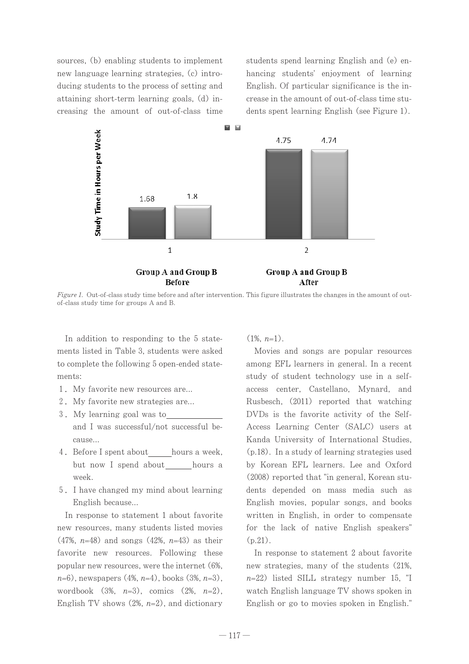sources, (b) enabling students to implement new language learning strategies, (c) introducing students to the process of setting and attaining short-term learning goals, (d) increasing the amount of out-of-class time

students spend learning English and (e) enhancing students' enjoyment of learning English. Of particular significance is the increase in the amount of out-of-class time students spent learning English (see Figure 1).



Figure 1. Out-of-class study time before and after intervention. This figure illustrates the changes in the amount of outof-class study time for groups A and B.

In addition to responding to the 5 statements listed in Table 3, students were asked to complete the following 5 open-ended statements:

- 1. My favorite new resources are...
- 2. My favorite new strategies are...
- 3. My learning goal was to and I was successful/not successful because...
- 4. Before I spent about hours a week, but now I spend about hours a week.
- 5. I have changed my mind about learning English because...

In response to statement 1 about favorite new resources, many students listed movies  $(47\%, n=48)$  and songs  $(42\%, n=43)$  as their favorite new resources. Following these popular new resources, were the internet (6%.  $n=6$ , newspapers (4%,  $n=4$ ), books (3%,  $n=3$ ), wordbook  $(3\%, n=3)$ , comics  $(2\%, n=2)$ , English TV shows  $(2\%, n=2)$ , and dictionary

 $(1\%, n=1)$ .

Movies and songs are popular resources among EFL learners in general. In a recent study of student technology use in a selfaccess center, Castellano, Mynard, and Rusbesch, (2011) reported that watching DVDs is the favorite activity of the Self-Access Learning Center (SALC) users at Kanda University of International Studies, (p.18). In a study of learning strategies used by Korean EFL learners. Lee and Oxford (2008) reported that "in general, Korean students depended on mass media such as English movies, popular songs, and books written in English, in order to compensate for the lack of native English speakers"  $(p.21)$ .

In response to statement 2 about favorite new strategies, many of the students (21%,  $n=22$ ) listed SILL strategy number 15, "I watch English language TV shows spoken in English or go to movies spoken in English."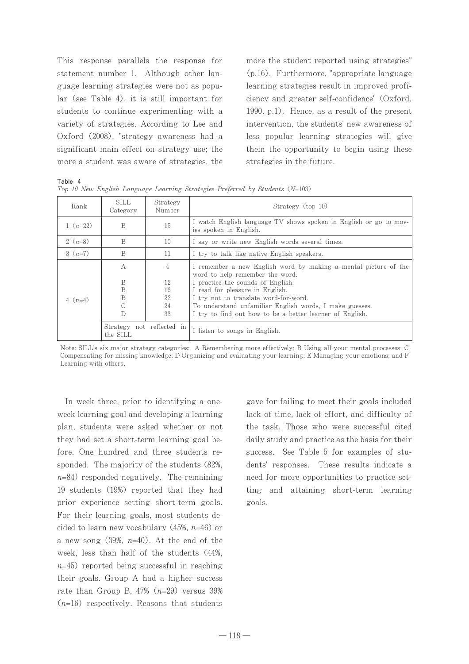This response parallels the response for statement number 1. Although other language learning strategies were not as popular (see Table 4), it is still important for students to continue experimenting with a variety of strategies. According to Lee and Oxford (2008), "strategy awareness had a significant main effect on strategy use; the more a student was aware of strategies, the

more the student reported using strategies" (p.16). Furthermore, "appropriate language learning strategies result in improved proficiency and greater self-confidence" (Oxford, 1990, p.1). Hence, as a result of the present intervention, the students' new awareness of less popular learning strategies will give them the opportunity to begin using these strategies in the future.

| Table 4    |                   |                    | Top 10 New English Language Learning Strategies Preferred by Students (N=103)                      |
|------------|-------------------|--------------------|----------------------------------------------------------------------------------------------------|
| Rank       | SILL.<br>Category | Strategy<br>Number | Strategy (top 10)                                                                                  |
| $1 (n=22)$ | B                 | 15                 | I watch English language TV shows spoken in English or go to mov-<br>ies spoken in English.        |
| 2 $(n=8)$  | B                 | 10                 | I say or write new English words several times.                                                    |
| $3(n=7)$   | B                 | 11                 | I try to talk like native English speakers.                                                        |
|            | A                 | 4                  | I remember a new English word by making a mental picture of the<br>word to help remember the word. |
|            | B                 | 12                 | I practice the sounds of English.                                                                  |
|            | B                 | 16                 | I read for pleasure in English.                                                                    |
| 4 $(n=4)$  | B                 | 22                 | I try not to translate word-for-word.                                                              |
|            | C                 | 24                 | To understand unfamiliar English words, I make guesses.                                            |

33

not reflected in

Note: SILL's six major strategy categories: A Remembering more effectively; B Using all your mental processes; C Compensating for missing knowledge; D Organizing and evaluating your learning; E Managing your emotions; and F Learning with others.

I listen to songs in English.

I try to find out how to be a better learner of English.

In week three, prior to identifying a oneweek learning goal and developing a learning plan, students were asked whether or not they had set a short-term learning goal before. One hundred and three students responded. The majority of the students (82%,  $n=84$ ) responded negatively. The remaining 19 students (19%) reported that they had prior experience setting short-term goals. For their learning goals, most students decided to learn new vocabulary (45%,  $n=46$ ) or a new song  $(39\%, n=40)$ . At the end of the week, less than half of the students (44%,  $n=45$  reported being successful in reaching their goals. Group A had a higher success rate than Group B, 47%  $(n=29)$  versus 39%  $(n=16)$  respectively. Reasons that students

 $\mathbf D$ 

Strategy

the SILL

gave for failing to meet their goals included lack of time, lack of effort, and difficulty of the task. Those who were successful cited daily study and practice as the basis for their success. See Table 5 for examples of students' responses. These results indicate a need for more opportunities to practice setting and attaining short-term learning goals.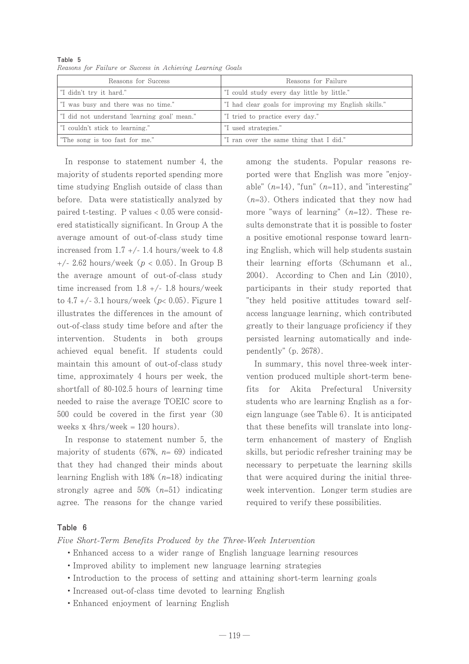| Reasons for Success                          | Reasons for Failure                                  |
|----------------------------------------------|------------------------------------------------------|
| "I didn't try it hard."                      | "I could study every day little by little."          |
| "I was busy and there was no time."          | "I had clear goals for improving my English skills." |
| "I did not understand 'learning goal' mean." | "I tried to practice every day."                     |
| "I couldn't stick to learning."              | "I used strategies."                                 |
| "The song is too fast for me."               | "I ran over the same thing that I did."              |

Table 5 Reasons for Failure or Success in Achieving Learning Goals

In response to statement number 4, the majority of students reported spending more time studying English outside of class than before. Data were statistically analyzed by paired t-testing. P values  $< 0.05$  were considered statistically significant. In Group A the average amount of out-of-class study time increased from  $1.7 +/- 1.4$  hours/week to 4.8 +/- 2.62 hours/week ( $p < 0.05$ ). In Group B the average amount of out-of-class study time increased from  $1.8 +/- 1.8$  hours/week to 4.7 +/- 3.1 hours/week ( $p< 0.05$ ). Figure 1 illustrates the differences in the amount of out-of-class study time before and after the intervention. Students in both groups achieved equal benefit. If students could maintain this amount of out-of-class study time, approximately 4 hours per week, the shortfall of 80-102.5 hours of learning time needed to raise the average TOEIC score to 500 could be covered in the first year (30 weeks x  $4\text{hrs}/\text{week} = 120 \text{ hours}.$ 

In response to statement number 5, the majority of students (67%,  $n=69$ ) indicated that they had changed their minds about learning English with 18%  $(n=18)$  indicating strongly agree and 50%  $(n=51)$  indicating agree. The reasons for the change varied among the students. Popular reasons reported were that English was more "enjoyable"  $(n=14)$ , "fun"  $(n=11)$ , and "interesting"  $(n=3)$ . Others indicated that they now had more "ways of learning"  $(n=12)$ . These results demonstrate that it is possible to foster a positive emotional response toward learning English, which will help students sustain their learning efforts (Schumann et al.,  $2004$ ). According to Chen and Lin  $(2010)$ , participants in their study reported that "they held positive attitudes toward selfaccess language learning, which contributed greatly to their language proficiency if they persisted learning automatically and independently" (p. 2678).

In summary, this novel three-week intervention produced multiple short-term benefits for Akita Prefectural University students who are learning English as a foreign language (see Table 6). It is anticipated that these benefits will translate into longterm enhancement of mastery of English skills, but periodic refresher training may be necessary to perpetuate the learning skills that were acquired during the initial threeweek intervention. Longer term studies are required to verify these possibilities.

#### Table 6

Five Short-Term Benefits Produced by the Three-Week Intervention

- Enhanced access to a wider range of English language learning resources
- Improved ability to implement new language learning strategies
- Introduction to the process of setting and attaining short-term learning goals
- Increased out-of-class time devoted to learning English
- · Enhanced enjoyment of learning English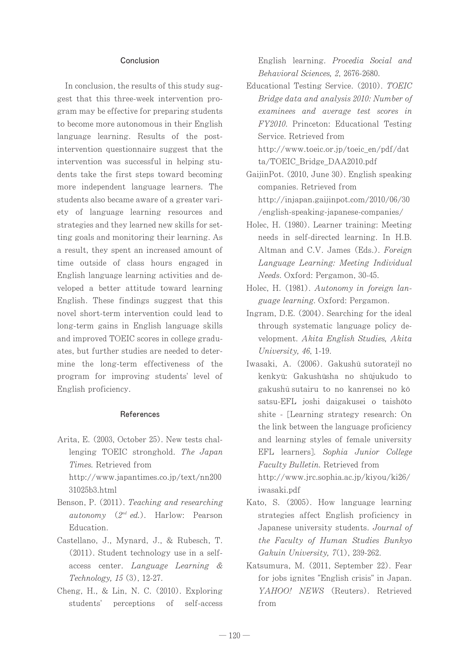#### Conclusion

In conclusion, the results of this study suggest that this three-week intervention program may be effective for preparing students to become more autonomous in their English language learning. Results of the postintervention questionnaire suggest that the intervention was successful in helping students take the first steps toward becoming more independent language learners. The students also became aware of a greater variety of language learning resources and strategies and they learned new skills for setting goals and monitoring their learning. As a result, they spent an increased amount of time outside of class hours engaged in English language learning activities and developed a better attitude toward learning English. These findings suggest that this novel short-term intervention could lead to long-term gains in English language skills and improved TOEIC scores in college graduates, but further studies are needed to determine the long-term effectiveness of the program for improving students' level of English proficiency.

#### References

Arita, E. (2003, October 25). New tests challenging TOEIC stronghold. The Japan Times. Retrieved from

http://www.japantimes.co.jp/text/nn200 31025b3.html

- Benson, P. (2011). Teaching and researching autonomy  $(2^{nd}$  ed.). Harlow: Pearson Education.
- Castellano, J., Mynard, J., & Rubesch, T.  $(2011)$ . Student technology use in a selfaccess center. Language Learning & Technology, 15 (3), 12-27.
- Cheng, H., & Lin, N. C. (2010). Exploring perceptions of students' self-access

English learning. Procedia Social and Behavioral Sciences, 2, 2676-2680.

- Educational Testing Service. (2010). TOEIC Bridge data and analysis 2010: Number of examinees and average test scores in FY2010. Princeton: Educational Testing Service, Retrieved from http://www.toeic.or.jp/toeic\_en/pdf/dat ta/TOEIC Bridge DAA2010.pdf
- GaijinPot. (2010, June 30). English speaking companies. Retrieved from http://injapan.gaijinpot.com/2010/06/30 /english-speaking-japanese-companies/
- Holec, H. (1980). Learner training: Meeting needs in self-directed learning. In H.B. Altman and C.V. James (Eds.). Foreign Language Learning: Meeting Individual Needs. Oxford: Pergamon, 30-45.
- Holec, H. (1981). Autonomy in foreign language learning. Oxford: Pergamon.
- Ingram, D.E. (2004). Searching for the ideal through systematic language policy development. Akita English Studies, Akita University, 46, 1-19.
- Iwasaki, A. (2006). Gakushū sutorateji no kenkvū: Gakushūsha no shūjukudo to gakushū sutairu to no kanrensei no kō satsu-EFL joshi daigakusei o taishōto shite - [Learning strategy research: On the link between the language proficiency and learning styles of female university EFL learners]. Sophia Junior College Faculty Bulletin. Retrieved from  $http://www.jrc.sophia.ac.jp/kiyou/ki26/$ iwasaki.pdf
- Kato, S. (2005). How language learning strategies affect English proficiency in Japanese university students. Journal of the Faculty of Human Studies Bunkyo Gakuin University,  $7(1)$ , 239-262.
- Katsumura, M. (2011, September 22). Fear for jobs ignites "English crisis" in Japan. YAHOO! NEWS (Reuters). Retrieved from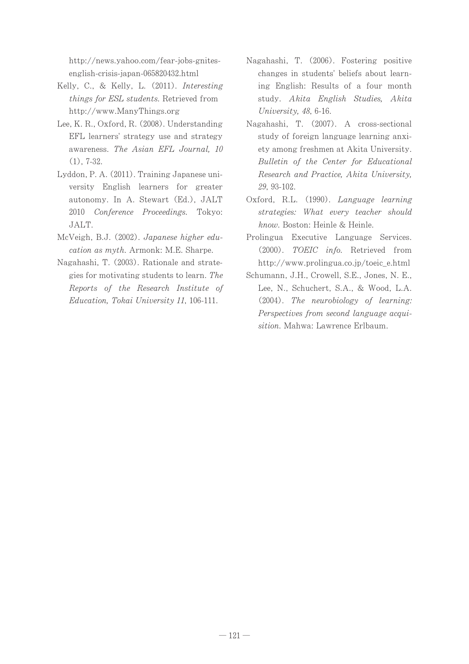http://news.yahoo.com/fear-jobs-gnitesenglish-crisis-japan-065820432.html

- Kelly, C., & Kelly, L. (2011). Interesting things for ESL students. Retrieved from http://www.ManyThings.org
- Lee, K. R., Oxford, R. (2008). Understanding EFL learners' strategy use and strategy awareness. The Asian EFL Journal, 10  $(1)$ , 7-32.
- Lyddon, P. A. (2011). Training Japanese university English learners for greater autonomy. In A. Stewart (Ed.), JALT 2010 Conference Proceedings. Tokyo: JALT.
- McVeigh, B.J. (2002). Japanese higher education as myth. Armonk: M.E. Sharpe.
- Nagahashi, T. (2003). Rationale and strategies for motivating students to learn. The Reports of the Research Institute of Education, Tokai University 11, 106-111.
- Nagahashi, T. (2006). Fostering positive changes in students' beliefs about learning English: Results of a four month study. Akita English Studies, Akita University, 48, 6-16.
- Nagahashi, T. (2007). A cross-sectional study of foreign language learning anxiety among freshmen at Akita University. Bulletin of the Center for Educational Research and Practice, Akita University, 29. 93-102.
- Oxford, R.L. (1990). Language learning strategies: What every teacher should know. Boston: Heinle & Heinle.
- Prolingua Executive Language Services. (2000). TOEIC info. Retrieved from http://www.prolingua.co.jp/toeic\_e.html
- Schumann, J.H., Crowell, S.E., Jones, N. E., Lee, N., Schuchert, S.A., & Wood, L.A. (2004). The neurobiology of learning: Perspectives from second language acquisition. Mahwa: Lawrence Erlbaum.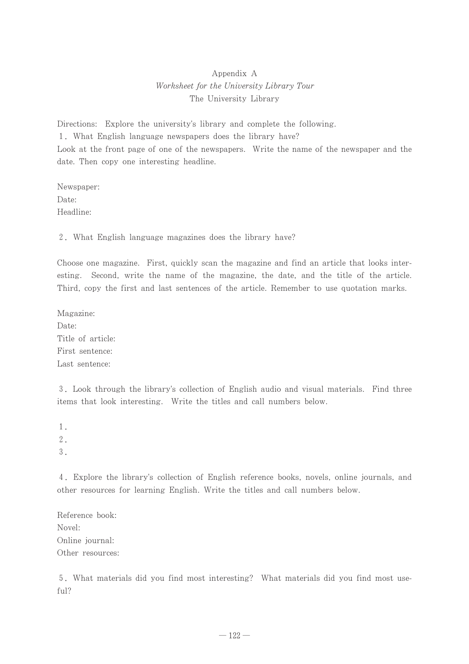# Appendix A Worksheet for the University Library Tour The University Library

Directions: Explore the university's library and complete the following. 1. What English language newspapers does the library have? Look at the front page of one of the newspapers. Write the name of the newspaper and the date. Then copy one interesting headline.

Newspaper: Date: Headline:

2. What English language magazines does the library have?

Choose one magazine. First, quickly scan the magazine and find an article that looks inter-Second, write the name of the magazine, the date, and the title of the article. esting. Third, copy the first and last sentences of the article. Remember to use quotation marks.

Magazine: Date: Title of article: First sentence: Last sentence:

3. Look through the library's collection of English audio and visual materials. Find three items that look interesting. Write the titles and call numbers below.

1.  $2$ .  $\mathfrak{Z}$ .

4. Explore the library's collection of English reference books, novels, online journals, and other resources for learning English. Write the titles and call numbers below.

Reference book: Novel: Online journal: Other resources:

5. What materials did you find most interesting? What materials did you find most useful?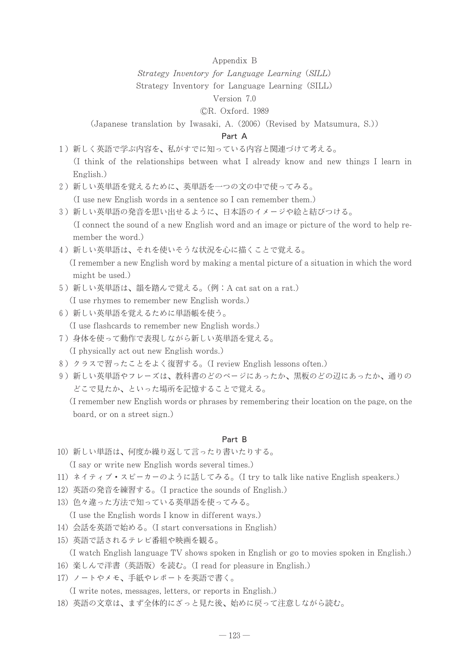#### Appendix B

Strategy Inventory for Language Learning (SILL)

Strategy Inventory for Language Learning (SILL)

#### Version 7.0

#### CR. Oxford. 1989

(Japanese translation by Iwasaki, A. (2006) (Revised by Matsumura, S.))

#### Part A

- 1) 新しく英語で学ぶ内容を、私がすでに知っている内容と関連づけて考える。 (I think of the relationships between what I already know and new things I learn in English.)
- 2) 新しい英単語を覚えるために、英単語を一つの文の中で使ってみる。

(I use new English words in a sentence so I can remember them.)

- 3) 新しい英単語の発音を思い出せるように、日本語のイメージや絵と結びつける。 (I connect the sound of a new English word and an image or picture of the word to help remember the word.)
- 4) 新しい英単語は、それを使いそうな状況を心に描くことで覚える。 (I remember a new English word by making a mental picture of a situation in which the word might be used.)
- 5) 新しい英単語は、韻を踏んで覚える。(例: A cat sat on a rat.) (I use rhymes to remember new English words.)
- 6) 新しい英単語を覚えるために単語帳を使う。 (I use flashcards to remember new English words.)
- 7) 身体を使って動作で表現しながら新しい英単語を覚える。 (I physically act out new English words.)
- 8) クラスで習ったことをよく復習する。(I review English lessons often.)
- 9) 新しい英単語やフレーズは、教科書のどのページにあったか、黒板のどの辺にあったか、通りの どこで見たか、といった場所を記憶することで覚える。

(I remember new English words or phrases by remembering their location on the page, on the board, or on a street sign.)

### Part B

10) 新しい単語は、何度か繰り返して言ったり書いたりする。

(I say or write new English words several times.)

- 11) ネイティブ・スピーカーのように話してみる。(I try to talk like native English speakers.)
- 12) 英語の発音を練習する。(I practice the sounds of English.)
- 13) 色々違った方法で知っている英単語を使ってみる。

(I use the English words I know in different ways.)

- 14) 会話を英語で始める。(I start conversations in English)
- 15) 英語で話されるテレビ番組や映画を観る。

(I watch English language TV shows spoken in English or go to movies spoken in English.)

- 16) 楽しんで洋書 (英語版) を読む。(I read for pleasure in English.)
- 17) ノートやメモ、手紙やレポートを英語で書く。

(I write notes, messages, letters, or reports in English.)

18) 英語の文章は、まず全体的にざっと見た後、始めに戻って注意しながら読む。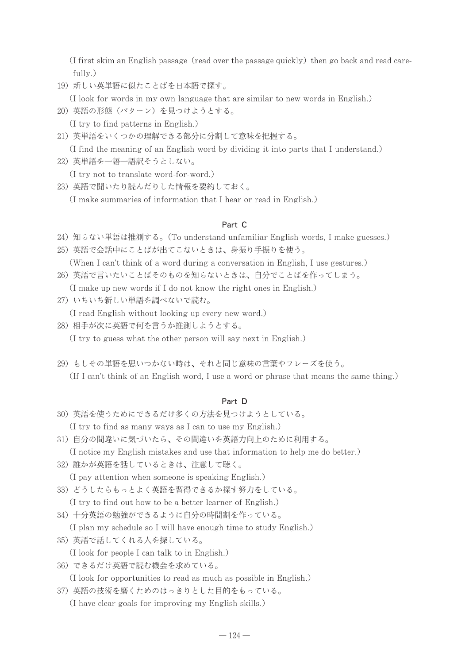(I first skim an English passage (read over the passage quickly) then go back and read carefully.)

19) 新しい英単語に似たことばを日本語で探す。

(I look for words in my own language that are similar to new words in English.)

20) 英語の形態 (パターン) を見つけようとする。

(I try to find patterns in English.)

21) 英単語をいくつかの理解できる部分に分割して意味を把握する。

(I find the meaning of an English word by dividing it into parts that I understand.)

22) 英単語を一語一語訳そうとしない。

(I try not to translate word-for-word.)

23) 英語で聞いたり読んだりした情報を要約しておく。

(I make summaries of information that I hear or read in English.)

### Part C

- 24) 知らない単語は推測する。(To understand unfamiliar English words, I make guesses.)
- 25) 英語で会話中にことばが出てこないときは、身振り手振りを使う。 (When I can't think of a word during a conversation in English, I use gestures.)
- 26) 英語で言いたいことばそのものを知らないときは、自分でことばを作ってしまう。 (I make up new words if I do not know the right ones in English.)
- 27) いちいち新しい単語を調べないで読む。

(I read English without looking up every new word.)

- 28) 相手が次に英語で何を言うか推測しようとする。 (I try to guess what the other person will say next in English.)
- 29) もしその単語を思いつかない時は、それと同じ意味の言葉やフレーズを使う。 (If I can't think of an English word, I use a word or phrase that means the same thing.)

#### Part D

- 30) 英語を使うためにできるだけ多くの方法を見つけようとしている。 (I try to find as many ways as I can to use my English.)
- 31) 自分の間違いに気づいたら、その間違いを英語力向上のために利用する。

(I notice my English mistakes and use that information to help me do better.)

32) 誰かが英語を話しているときは、注意して聴く。

(I pay attention when someone is speaking English.)

33) どうしたらもっとよく英語を習得できるか探す努力をしている。

(I try to find out how to be a better learner of English.)

34) 十分英語の勉強ができるように自分の時間割を作っている。

(I plan my schedule so I will have enough time to study English.)

- 35) 英語で話してくれる人を探している。
	- (I look for people I can talk to in English.)
- 36) できるだけ英語で読む機会を求めている。

(I look for opportunities to read as much as possible in English.)

37) 英語の技術を磨くためのはっきりとした目的をもっている。

(I have clear goals for improving my English skills.)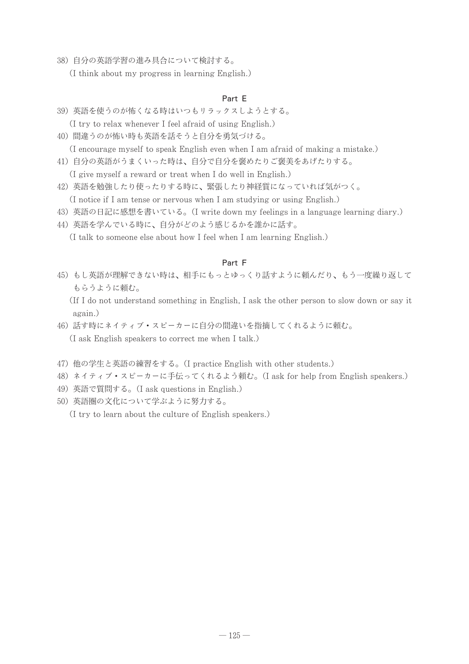38) 自分の英語学習の進み具合について検討する。

(I think about my progress in learning English.)

### Part E

- 39) 英語を使うのが怖くなる時はいつもリラックスしようとする。 (I try to relax whenever I feel afraid of using English.)
- 40) 間違うのが怖い時も英語を話そうと自分を勇気づける。

(I encourage myself to speak English even when I am afraid of making a mistake.) 41) 自分の英語がうまくいった時は、自分で自分を褒めたりご褒美をあげたりする。

- (I give myself a reward or treat when I do well in English.)
- 42) 英語を勉強したり使ったりする時に、緊張したり神経質になっていれば気がつく。 (I notice if I am tense or nervous when I am studying or using English.)
- 43) 英語の日記に感想を書いている。(I write down my feelings in a language learning diary.)
- 44) 英語を学んでいる時に、自分がどのよう感じるかを誰かに話す。

(I talk to someone else about how I feel when I am learning English.)

### Part F

- 45) もし英語が理解できない時は、相手にもっとゆっくり話すように頼んだり、もう一度繰り返して もらうように頼む。
	- (If I do not understand something in English, I ask the other person to slow down or say it again.)
- 46) 話す時にネイティブ·スピーカーに自分の間違いを指摘してくれるように頼む。 (I ask English speakers to correct me when I talk.)
- 47) 他の学生と英語の練習をする。(I practice English with other students.)
- 48) ネイティブ・スピーカーに手伝ってくれるよう頼む。(I ask for help from English speakers.)
- 49) 英語で質問する。(I ask questions in English.)
- 50) 英語圏の文化について学ぶように努力する。

(I try to learn about the culture of English speakers.)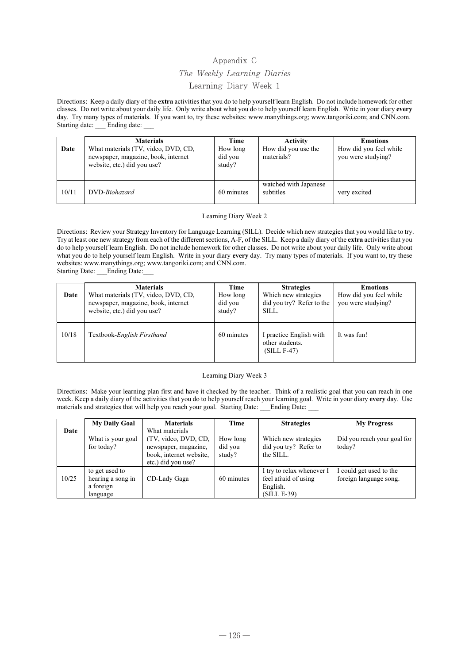# Appendix C The Weekly Learning Diaries Learning Diary Week 1

Directions: Keep a daily diary of the extra activities that you do to help yourself learn English. Do not include homework for other classes. Do not write about your daily life. Only write about what you do to help yourself learn English. Write in your diary every day. Try many types of materials. If you want to, try these websites: www.manythings.org; www.tangoriki.com; and CNN.com. Starting date: \_\_\_ Ending date:

| Date  | <b>Materials</b><br>What materials (TV, video, DVD, CD,<br>newspaper, magazine, book, internet<br>website, etc.) did you use? | Time<br>How long<br>did you<br>study? | <b>Activity</b><br>How did you use the<br>materials? | <b>Emotions</b><br>How did you feel while<br>you were studying? |
|-------|-------------------------------------------------------------------------------------------------------------------------------|---------------------------------------|------------------------------------------------------|-----------------------------------------------------------------|
| 10/11 | DVD- <i>Biohazard</i>                                                                                                         | 60 minutes                            | watched with Japanese<br>subtitles                   | very excited                                                    |

Learning Diary Week 2

Directions: Review your Strategy Inventory for Language Learning (SILL). Decide which new strategies that you would like to try. Try at least one new strategy from each of the different sections, A-F, of the SILL. Keep a daily diary of the extra activities that you do to help yourself learn English. Do not include homework for other classes. Do not write about your daily life. Only write about what you do to help yourself learn English. Write in your diary every day. Try many types of materials. If you want to, try these websites: www.manythings.org; www.tangoriki.com; and CNN.com. Starting Date: \_\_\_Ending Date:

| Date  | <b>Materials</b><br>What materials (TV, video, DVD, CD,<br>newspaper, magazine, book, internet<br>website, etc.) did you use? | Time<br>How long<br>did you<br>study? | <b>Strategies</b><br>Which new strategies<br>did you try? Refer to the<br>SILL. | <b>Emotions</b><br>How did you feel while<br>you were studying? |
|-------|-------------------------------------------------------------------------------------------------------------------------------|---------------------------------------|---------------------------------------------------------------------------------|-----------------------------------------------------------------|
| 10/18 | Textbook-English Firsthand                                                                                                    | 60 minutes                            | practice English with<br>other students.<br>$(SILL F-47)$                       | It was fun!                                                     |

#### Learning Diary Week 3

Directions: Make your learning plan first and have it checked by the teacher. Think of a realistic goal that you can reach in one week. Keep a daily diary of the activities that you do to help yourself reach your learning goal. Write in your diary every day. Use materials and strategies that will help you reach your goal. Starting Date: Ending Date:

|       | <b>My Daily Goal</b>                                         | <b>Materials</b>                                                                                                | Time                          | <b>Strategies</b>                                                              | <b>My Progress</b>                                |
|-------|--------------------------------------------------------------|-----------------------------------------------------------------------------------------------------------------|-------------------------------|--------------------------------------------------------------------------------|---------------------------------------------------|
| Date  | What is your goal<br>for today?                              | What materials<br>(TV, video, DVD, CD,<br>newspaper, magazine,<br>book, internet website,<br>etc.) did you use? | How long<br>did you<br>study? | Which new strategies<br>did you try? Refer to<br>the SILL.                     | Did you reach your goal for<br>today?             |
| 10/25 | to get used to<br>hearing a song in<br>a foreign<br>language | CD-Lady Gaga                                                                                                    | 60 minutes                    | I try to relax whenever I<br>feel afraid of using<br>English.<br>$(SILL E-39)$ | I could get used to the<br>foreign language song. |